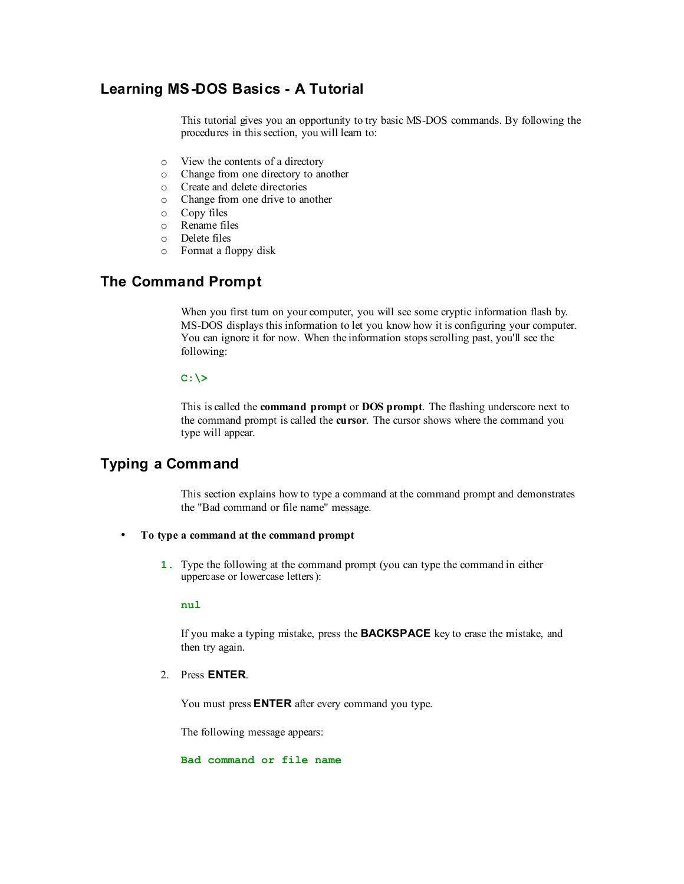# **Learning MS-DOS Basics - A Tutorial**

This tutorial gives you an opportunity to try basic MS-DOS commands. By following the procedures in this section, you will learn to:

- o View the contents of a directory
- o Change from one directory to another
- o Create and delete directories
- o Change from one drive to another
- o Copy files
- o Rename files
- o Delete files
- o Format a floppy disk

# **The Command Prompt**

When you first turn on your computer, you will see some cryptic information flash by. MS-DOS displays this information to let you know how it is configuring your computer. You can ignore it for now. When the information stops scrolling past, you'll see the following:

## **C:\>**

This is called the **command prompt** or **DOS prompt**. The flashing underscore next to the command prompt is called the **cursor**. The cursor shows where the command you type will appear.

# **Typing a Command**

This section explains how to type a command at the command prompt and demonstrates the "Bad command or file name" message.

#### • **To type a command at the command prompt**

**1.** Type the following at the command prompt (you can type the command in either uppercase or lowercase letters):

## **nul**

If you make a typing mistake, press the **BACKSPACE** key to erase the mistake, and then try again.

#### 2. Press **ENTER**.

You must press **ENTER** after every command you type.

The following message appears:

#### **Bad command or file name**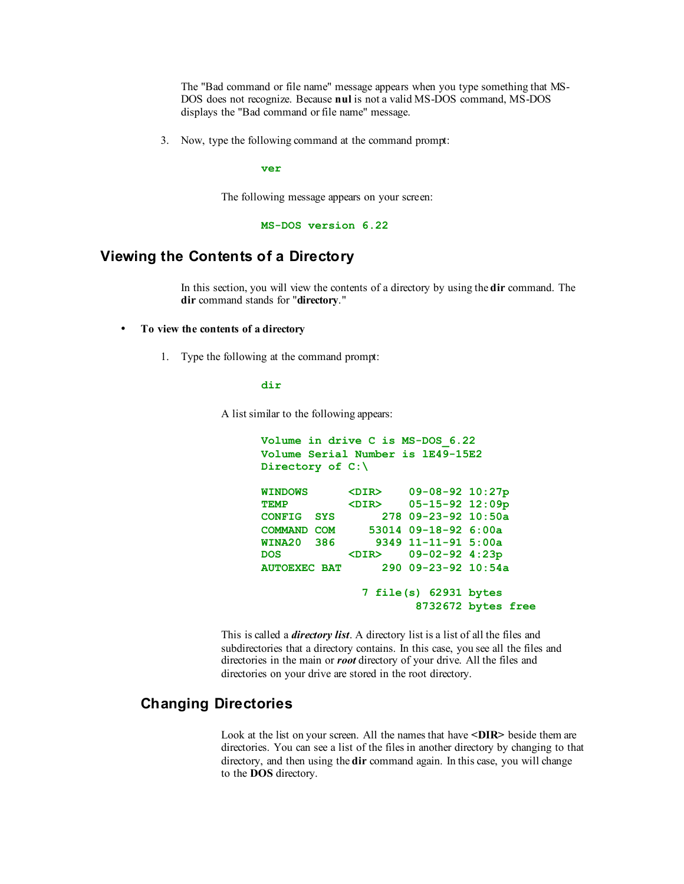The "Bad command or file name" message appears when you type something that MS-DOS does not recognize. Because **nul** is not a valid MS-DOS command, MS-DOS displays the "Bad command or file name" message.

3. Now, type the following command at the command prompt:

**ver**

The following message appears on your screen:

**MS-DOS version 6.22**

# **Viewing the Contents of a Directory**

In this section, you will view the contents of a directory by using the **dir** command. The **dir** command stands for "**directory**."

#### • **To view the contents of a directory**

1. Type the following at the command prompt:

#### **dir**

A list similar to the following appears:

```
Volume in drive C is MS-DOS_6.22 
Volume Serial Number is lE49-15E2
Directory of C:\
WINDOWS <DIR> 09-08-92 10:27p 
TEMP <DIR> 05-15-92 12:09p 
CONFIG SYS 278 09-23-92 10:50a 
COMMAND COM 53014 09-18-92 6:00a<br>WINA20 386 9349 11-11-91 5:00a
                WINA20 386 9349 11-11-91 5:00a 
DOS <DIR> 09-02-92 4:23p 
AUTOEXEC BAT 290 09-23-92 10:54a 
                7 file(s) 62931 bytes 
                        8732672 bytes free
```
This is called a *directory list*. A directory list is a list of all the files and subdirectories that a directory contains. In this case, you see all the files and directories in the main or *root* directory of your drive. All the files and directories on your drive are stored in the root directory.

# **Changing Directories**

Look at the list on your screen. All the names that have **<DIR>** beside them are directories. You can see a list of the files in another directory by changing to that directory, and then using the **dir** command again. In this case, you will change to the **DOS** directory.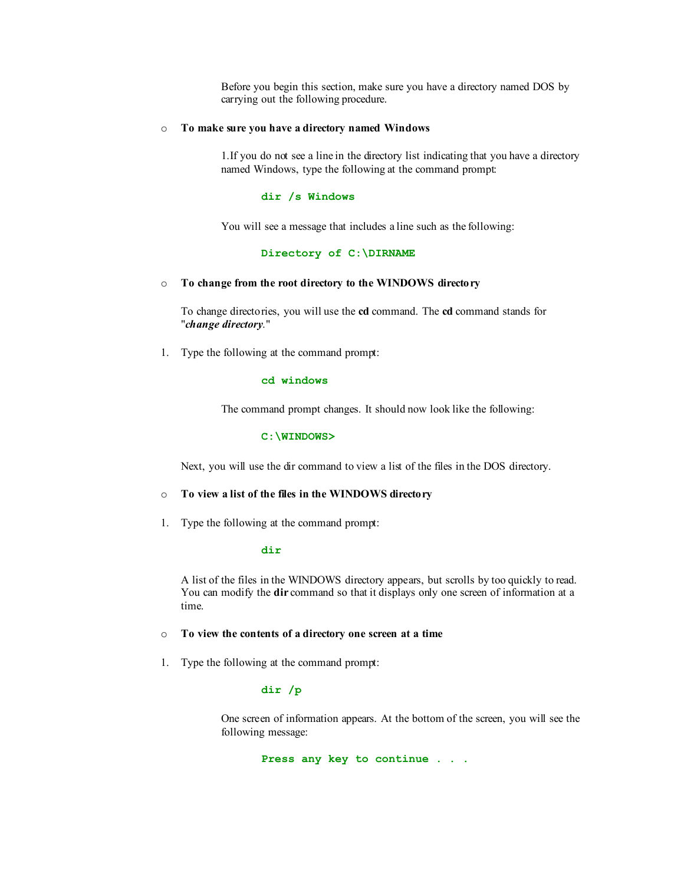Before you begin this section, make sure you have a directory named DOS by carrying out the following procedure.

#### o **To make sure you have a directory named Windows**

1.If you do not see a line in the directory list indicating that you have a directory named Windows, type the following at the command prompt:

#### **dir /s Windows**

You will see a message that includes a line such as the following:

#### **Directory of C:\DIRNAME**

#### o **To change from the root directory to the WINDOWS directory**

To change directories, you will use the **cd** command. The **cd** command stands for "*change directory*."

1. Type the following at the command prompt:

#### **cd windows**

The command prompt changes. It should now look like the following:

#### **C:\WINDOWS>**

Next, you will use the dir command to view a list of the files in the DOS directory.

# o **To view a list of the files in the WINDOWS directory**

1. Type the following at the command prompt:

#### **dir**

A list of the files in the WINDOWS directory appears, but scrolls by too quickly to read. You can modify the **dir** command so that it displays only one screen of information at a time.

#### o **To view the contents of a directory one screen at a time**

1. Type the following at the command prompt:

#### **dir /p**

One screen of information appears. At the bottom of the screen, you will see the following message:

**Press any key to continue . . .**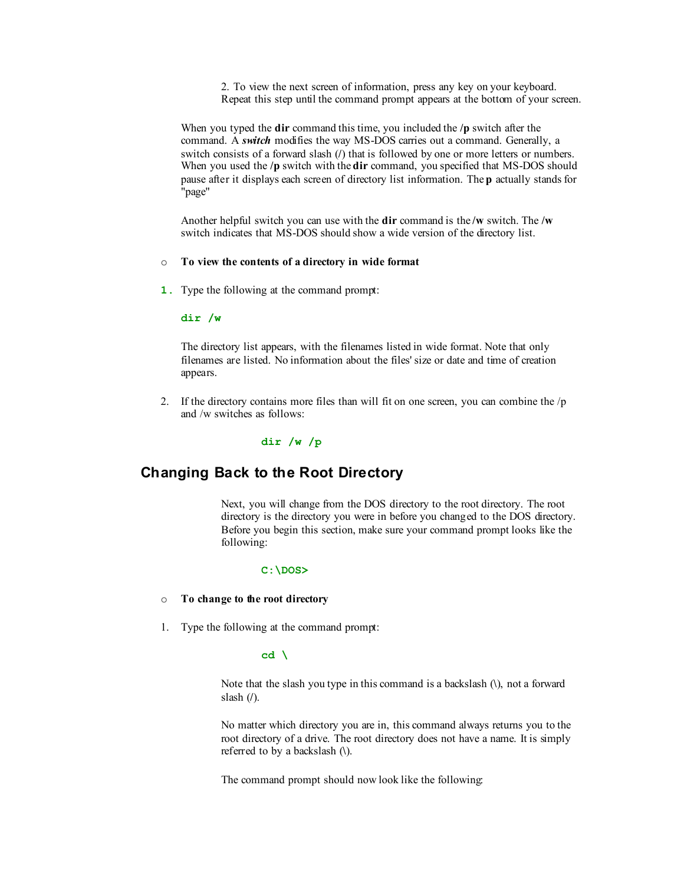2. To view the next screen of information, press any key on your keyboard. Repeat this step until the command prompt appears at the bottom of your screen.

When you typed the **dir** command this time, you included the **/p** switch after the command. A *switch* modifies the way MS-DOS carries out a command. Generally, a switch consists of a forward slash (**/**) that is followed by one or more letters or numbers. When you used the **/p** switch with the **dir** command, you specified that MS-DOS should pause after it displays each screen of directory list information. The **p** actually stands for "page"

Another helpful switch you can use with the **dir** command is the **/w** switch. The **/w** switch indicates that MS-DOS should show a wide version of the directory list.

#### o **To view the contents of a directory in wide format**

**1.** Type the following at the command prompt:

#### **dir /w**

The directory list appears, with the filenames listed in wide format. Note that only filenames are listed. No information about the files' size or date and time of creation appears.

2. If the directory contains more files than will fit on one screen, you can combine the /p and /w switches as follows:

# **dir /w /p**

# **Changing Back to the Root Directory**

Next, you will change from the DOS directory to the root directory. The root directory is the directory you were in before you changed to the DOS directory. Before you begin this section, make sure your command prompt looks like the following:

# **C:\DOS>**

#### o **To change to the root directory**

1. Type the following at the command prompt:

#### **cd \**

Note that the slash you type in this command is a backslash (**\**), not a forward slash (**/**).

No matter which directory you are in, this command always returns you to the root directory of a drive. The root directory does not have a name. It is simply referred to by a backslash (**\**).

The command prompt should now look like the following: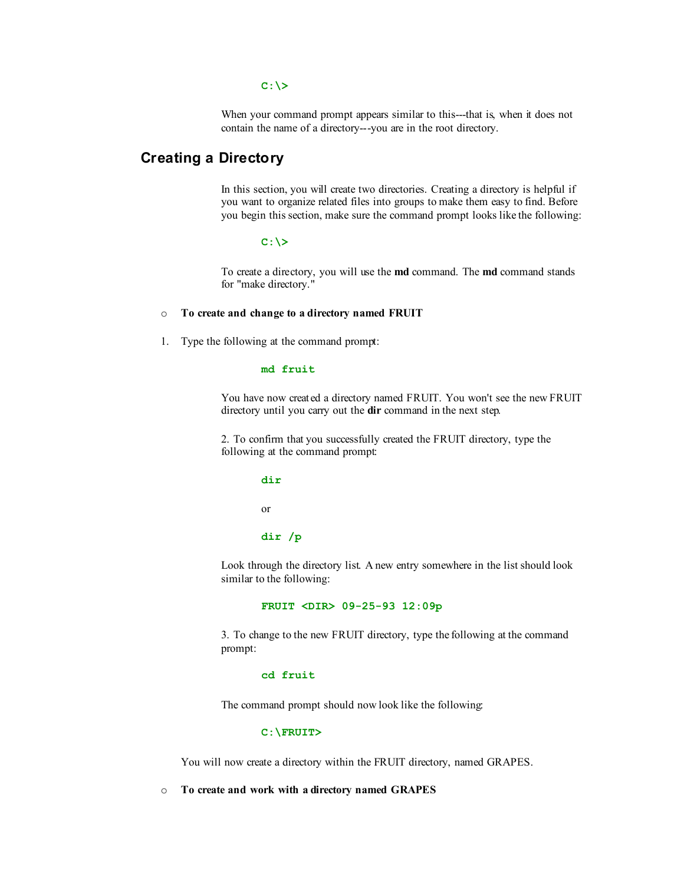#### $C: \>$

When your command prompt appears similar to this---that is, when it does not contain the name of a directory---you are in the root directory.

# **Creating a Directory**

In this section, you will create two directories. Creating a directory is helpful if you want to organize related files into groups to make them easy to find. Before you begin this section, make sure the command prompt looks like the following:

#### **C:\>**

To create a directory, you will use the **md** command. The **md** command stands for "make directory."

## o **To create and change to a directory named FRUIT**

1. Type the following at the command prompt:

# **md fruit**

You have now creat ed a directory named FRUIT. You won't see the new FRUIT directory until you carry out the **dir** command in the next step.

2. To confirm that you successfully created the FRUIT directory, type the following at the command prompt:

# **dir**  or

#### **dir /p**

Look through the directory list. A new entry somewhere in the list should look similar to the following:

#### **FRUIT <DIR> 09-25-93 12:09p**

3. To change to the new FRUIT directory, type the following at the command prompt:

#### **cd fruit**

The command prompt should now look like the following:

#### **C:\FRUIT>**

You will now create a directory within the FRUIT directory, named GRAPES.

#### o **To create and work with a directory named GRAPES**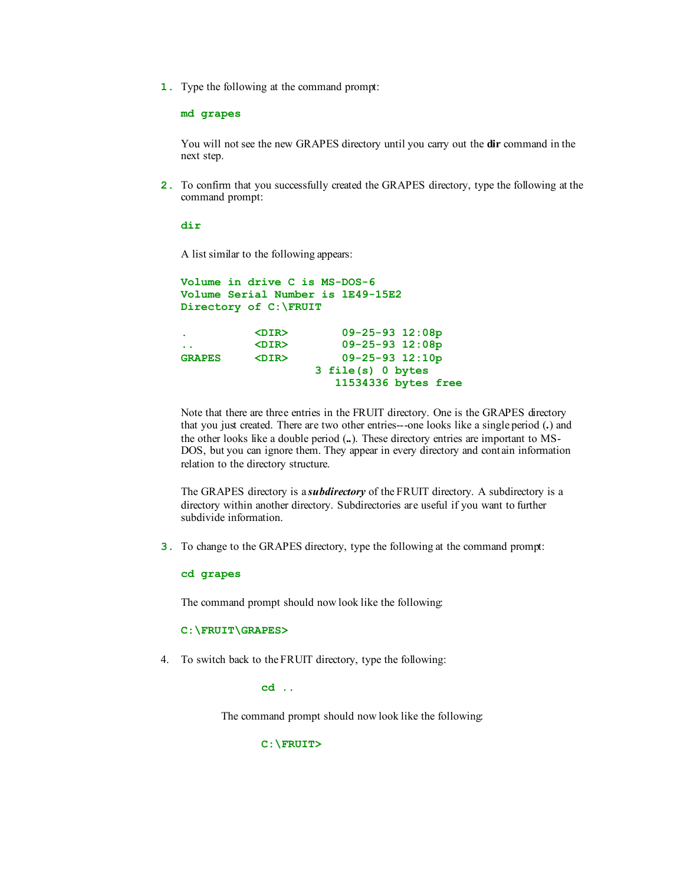**1.** Type the following at the command prompt:

**md grapes** 

You will not see the new GRAPES directory until you carry out the **dir** command in the next step.

**2.** To confirm that you successfully created the GRAPES directory, type the following at the command prompt:

**dir**

A list similar to the following appears:

```
Volume in drive C is MS-DOS-6 
Volume Serial Number is lE49-15E2 
Directory of C:\FRUIT
. <DIR> 09-25-93 12:08p 
.. <DIR> 09-25-93 12:08p 
GRAPES <DIR> 09-25-93 12:10p 
                  3 file(s) 0 bytes 
                    11534336 bytes free
```
Note that there are three entries in the FRUIT directory. One is the GRAPES directory that you just created. There are two other entries---one looks like a single period (**.**) and the other looks like a double period (**..**). These directory entries are important to MS-DOS, but you can ignore them. They appear in every directory and cont ain information relation to the directory structure.

The GRAPES directory is a *subdirectory* of the FRUIT directory. A subdirectory is a directory within another directory. Subdirectories are useful if you want to further subdivide information.

**3.** To change to the GRAPES directory, type the following at the command prompt:

**cd grapes** 

The command prompt should now look like the following:

**C:\FRUIT\GRAPES>** 

4. To switch back to the FRUIT directory, type the following:

**cd ..** 

The command prompt should now look like the following:

**C:\FRUIT>**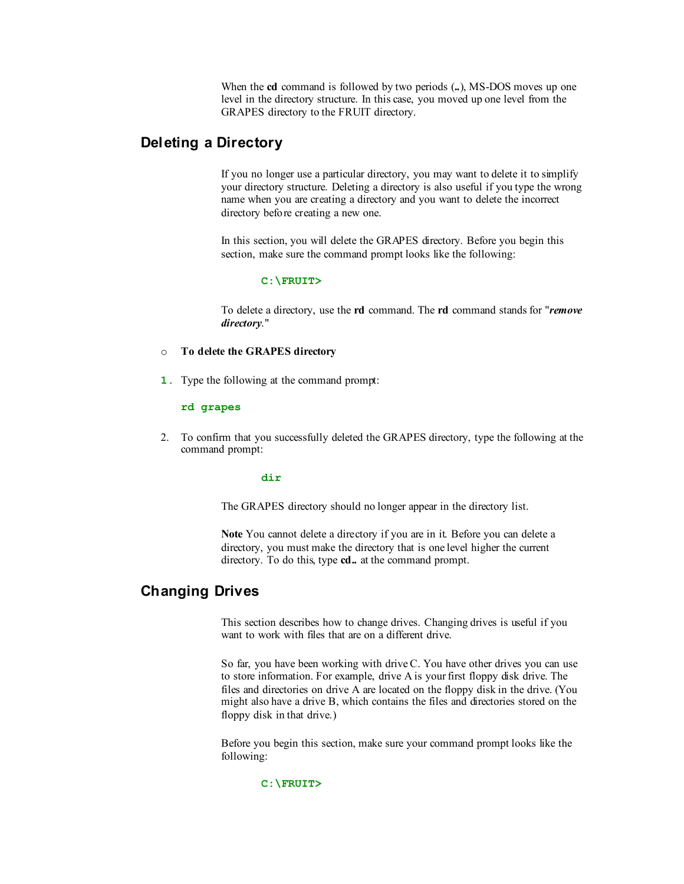When the **cd** command is followed by two periods (**..**), MS-DOS moves up one level in the directory structure. In this case, you moved up one level from the GRAPES directory to the FRUIT directory.

# **Deleting a Directory**

If you no longer use a particular directory, you may want to delete it to simplify your directory structure. Deleting a directory is also useful if you type the wrong name when you are creating a directory and you want to delete the incorrect directory before creating a new one.

In this section, you will delete the GRAPES directory. Before you begin this section, make sure the command prompt looks like the following:

#### **C:\FRUIT>**

To delete a directory, use the **rd** command. The **rd** command stands for "*remove directory*."

# o **To delete the GRAPES directory**

**1.** Type the following at the command prompt:

#### **rd grapes**

2. To confirm that you successfully deleted the GRAPES directory, type the following at the command prompt:

#### **dir**

The GRAPES directory should no longer appear in the directory list.

**Note** You cannot delete a directory if you are in it. Before you can delete a directory, you must make the directory that is one level higher the current directory. To do this, type **cd..** at the command prompt.

# **Changing Drives**

This section describes how to change drives. Changing drives is useful if you want to work with files that are on a different drive.

So far, you have been working with driveC. You have other drives you can use to store information. For example, drive A is your first floppy disk drive. The files and directories on drive A are located on the floppy disk in the drive. (You might also have a drive B, which contains the files and directories stored on the floppy disk in that drive.)

Before you begin this section, make sure your command prompt looks like the following:

#### **C:\FRUIT>**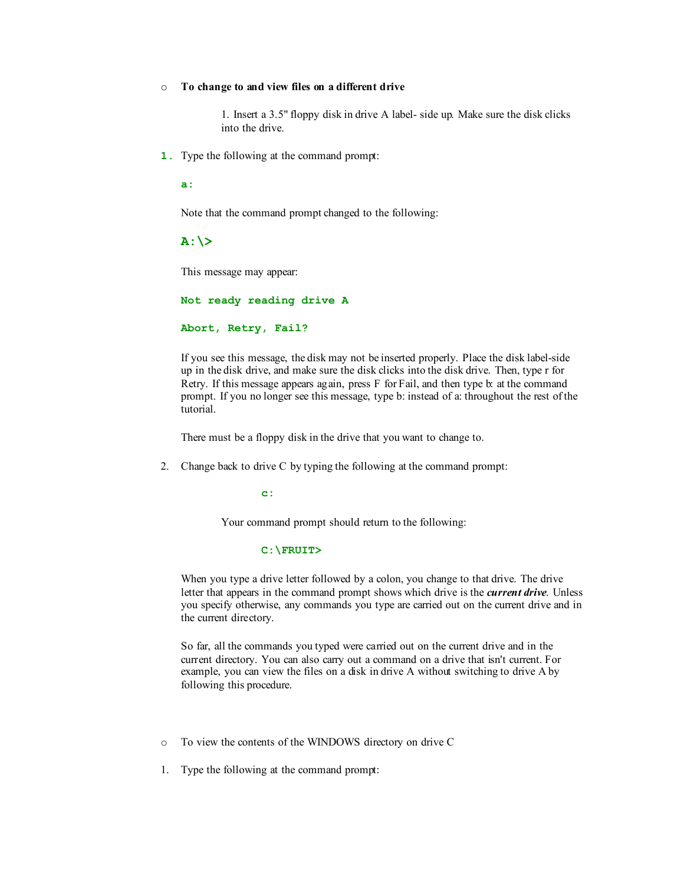#### o **To change to and view files on a different drive**

1. Insert a 3.5" floppy disk in drive A label- side up. Make sure the disk clicks into the drive.

**1.** Type the following at the command prompt:

**a:** 

Note that the command prompt changed to the following:

**A:\>**

This message may appear:

**Not ready reading drive A** 

**Abort, Retry, Fail?** 

If you see this message, the disk may not be inserted properly. Place the disk label-side up in the disk drive, and make sure the disk clicks into the disk drive. Then, type r for Retry. If this message appears again, press F for Fail, and then type b: at the command prompt. If you no longer see this message, type b: instead of a: throughout the rest of the tutorial.

There must be a floppy disk in the drive that you want to change to.

2. Change back to drive C by typing the following at the command prompt:

**c:**

Your command prompt should return to the following:

#### **C:\FRUIT>**

When you type a drive letter followed by a colon, you change to that drive. The drive letter that appears in the command prompt shows which drive is the *current drive*. Unless you specify otherwise, any commands you type are carried out on the current drive and in the current directory.

So far, all the commands you typed were carried out on the current drive and in the current directory. You can also carry out a command on a drive that isn't current. For example, you can view the files on a disk in drive A without switching to drive A by following this procedure.

- o To view the contents of the WINDOWS directory on drive C
- 1. Type the following at the command prompt: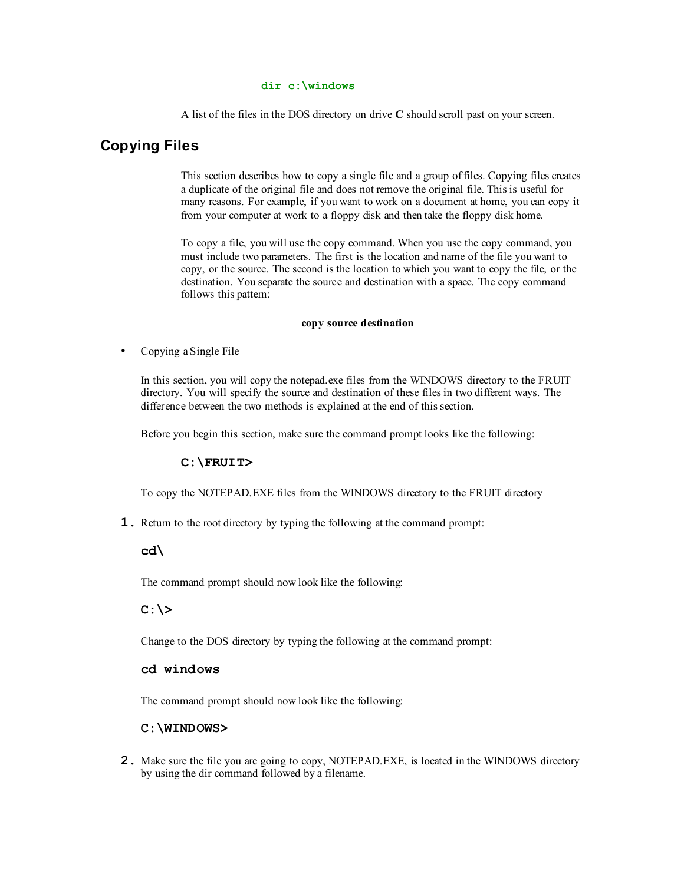#### **dir c:\windows**

A list of the files in the DOS directory on drive **C** should scroll past on your screen.

# **Copying Files**

This section describes how to copy a single file and a group of files. Copying files creates a duplicate of the original file and does not remove the original file. This is useful for many reasons. For example, if you want to work on a document at home, you can copy it from your computer at work to a floppy disk and then take the floppy disk home.

To copy a file, you will use the copy command. When you use the copy command, you must include two parameters. The first is the location and name of the file you want to copy, or the source. The second is the location to which you want to copy the file, or the destination. You separate the source and destination with a space. The copy command follows this pattern:

#### **copy source destination**

• Copying a Single File

In this section, you will copy the notepad.exe files from the WINDOWS directory to the FRUIT directory. You will specify the source and destination of these files in two different ways. The difference between the two methods is explained at the end of this section.

Before you begin this section, make sure the command prompt looks like the following:

#### **C:\FRUIT>**

To copy the NOTEPAD.EXE files from the WINDOWS directory to the FRUIT directory

**1.** Return to the root directory by typing the following at the command prompt:

## **cd\**

The command prompt should now look like the following:

# **C:\>**

Change to the DOS directory by typing the following at the command prompt:

# **cd windows**

The command prompt should now look like the following:

## **C:\WINDOWS>**

**2.** Make sure the file you are going to copy, NOTEPAD.EXE, is located in the WINDOWS directory by using the dir command followed by a filename.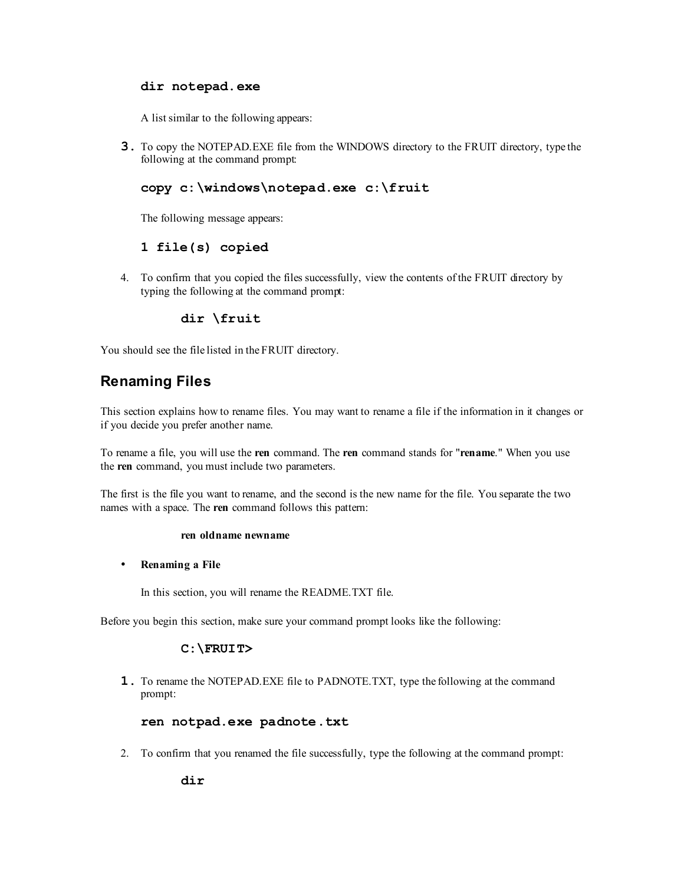# **dir notepad.exe**

A list similar to the following appears:

**3.** To copy the NOTEPAD.EXE file from the WINDOWS directory to the FRUIT directory, type the following at the command prompt:

# **copy c:\windows\notepad.exe c:\fruit**

The following message appears:

# **1 file(s) copied**

4. To confirm that you copied the files successfully, view the contents of the FRUIT directory by typing the following at the command prompt:

# **dir \fruit**

You should see the file listed in the FRUIT directory.

# **Renaming Files**

This section explains how to rename files. You may want to rename a file if the information in it changes or if you decide you prefer another name.

To rename a file, you will use the **ren** command. The **ren** command stands for "**rename**." When you use the **ren** command, you must include two parameters.

The first is the file you want to rename, and the second is the new name for the file. You separate the two names with a space. The **ren** command follows this pattern:

#### **ren oldname newname**

• **Renaming a File**

In this section, you will rename the README.TXT file.

Before you begin this section, make sure your command prompt looks like the following:

# **C:\FRUIT>**

**1.** To rename the NOTEPAD.EXE file to PADNOTE.TXT, type the following at the command prompt:

# **ren notpad.exe padnote.txt**

2. To confirm that you renamed the file successfully, type the following at the command prompt:

**dir**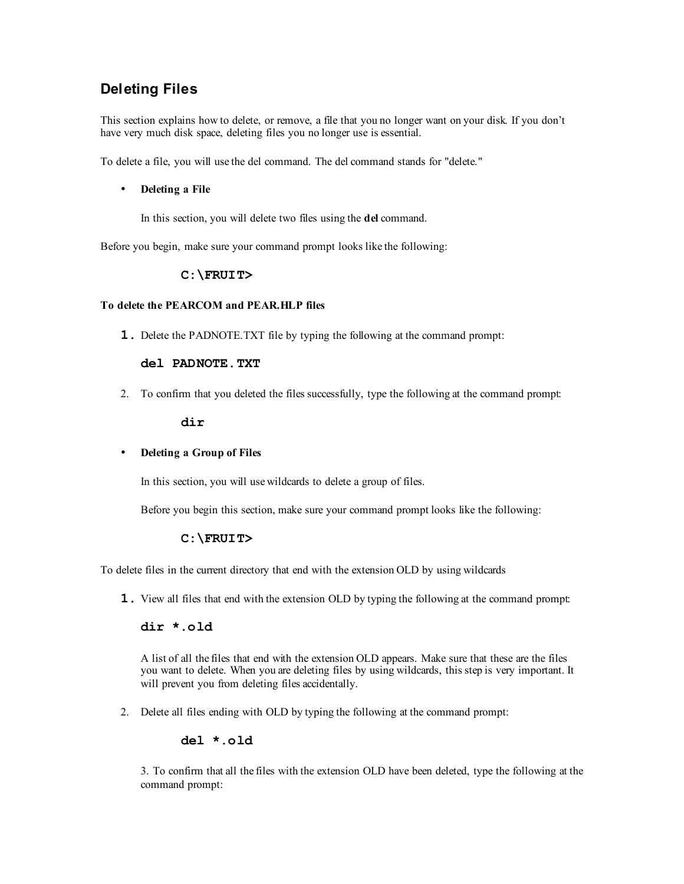# **Deleting Files**

This section explains how to delete, or remove, a file that you no longer want on your disk. If you don't have very much disk space, deleting files you no longer use is essential.

To delete a file, you will use the del command. The del command stands for "delete."

## • **Deleting a File**

In this section, you will delete two files using the **del** command.

Before you begin, make sure your command prompt looks like the following:

# **C:\FRUIT>**

## **To delete the PEARCOM and PEAR.HLP files**

**1.** Delete the PADNOTE.TXT file by typing the following at the command prompt:

# **del PADNOTE.TXT**

2. To confirm that you deleted the files successfully, type the following at the command prompt:

## **dir**

# • **Deleting a Group of Files**

In this section, you will use wildcards to delete a group of files.

Before you begin this section, make sure your command prompt looks like the following:

# **C:\FRUIT>**

To delete files in the current directory that end with the extension OLD by using wildcards

**1.** View all files that end with the extension OLD by typing the following at the command prompt:

# **dir \*.old**

A list of all the files that end with the extension OLD appears. Make sure that these are the files you want to delete. When you are deleting files by using wildcards, this step is very important. It will prevent you from deleting files accidentally.

2. Delete all files ending with OLD by typing the following at the command prompt:

# **del \*.old**

3. To confirm that all the files with the extension OLD have been deleted, type the following at the command prompt: